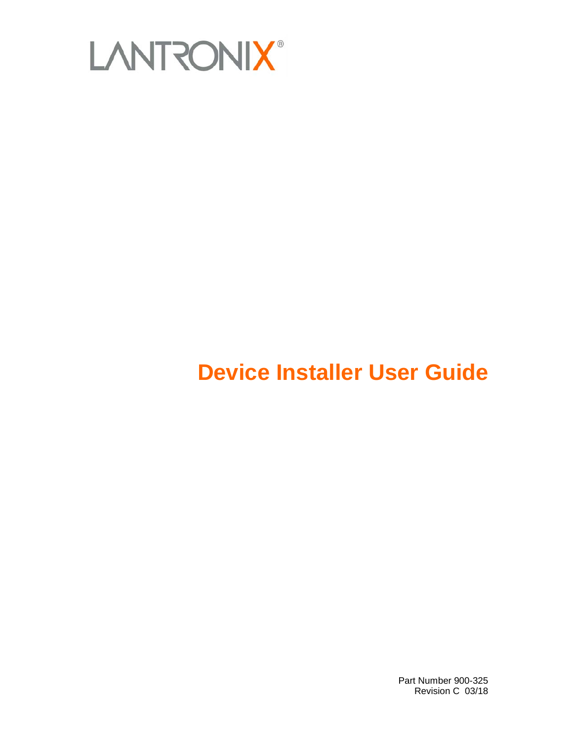

# **Device Installer User Guide**

Part Number 900-325 Revision C 03/18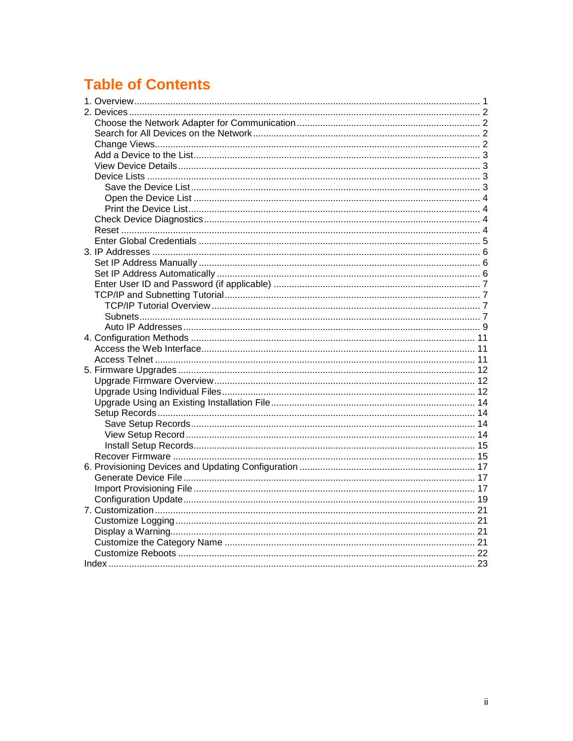## **Table of Contents**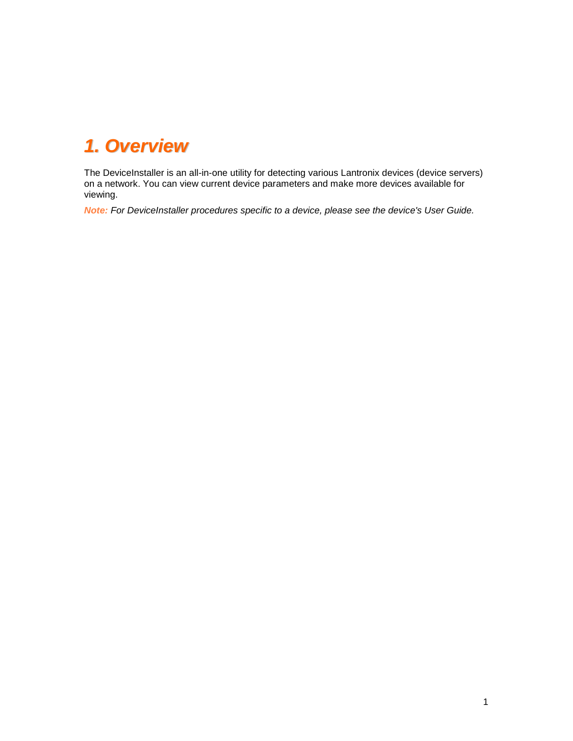## <span id="page-2-0"></span>*1. Overview*

The DeviceInstaller is an all-in-one utility for detecting various Lantronix devices (device servers) on a network. You can view current device parameters and make more devices available for viewing.

*Note: For DeviceInstaller procedures specific to a device, please see the device's User Guide.*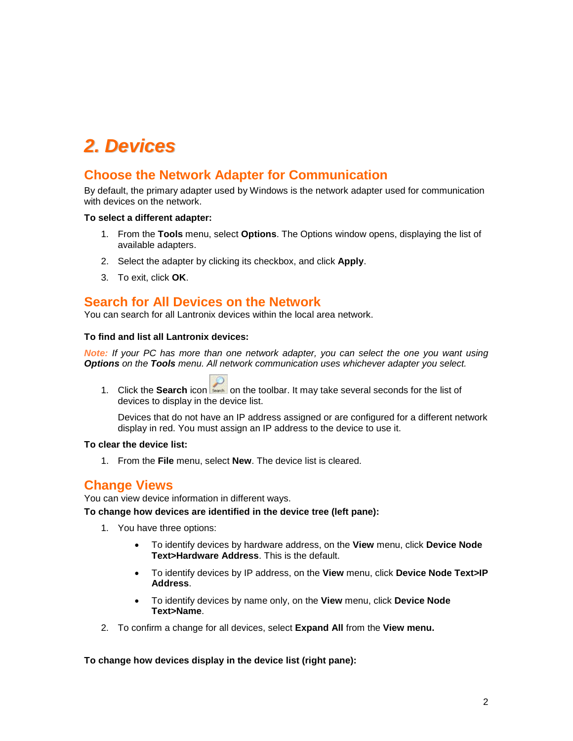## <span id="page-3-0"></span>*2. Devices*

## <span id="page-3-1"></span>**Choose the Network Adapter for Communication**

By default, the primary adapter used by Windows is the network adapter used for communication with devices on the network.

#### **To select a different adapter:**

- 1. From the **Tools** menu, select **Options**. The Options window opens, displaying the list of available adapters.
- 2. Select the adapter by clicking its checkbox, and click **Apply**.
- 3. To exit, click **OK**.

### <span id="page-3-2"></span>**Search for All Devices on the Network**

You can search for all Lantronix devices within the local area network.

#### **To find and list all Lantronix devices:**

*Note: If your PC has more than one network adapter, you can select the one you want using Options on the Tools menu. All network communication uses whichever adapter you select.*

1. Click the **Search** icon on the toolbar. It may take several seconds for the list of devices to display in the device list.

Devices that do not have an IP address assigned or are configured for a different network display in red. You must assign an IP address to the device to use it.

#### **To clear the device list:**

1. From the **File** menu, select **New**. The device list is cleared.

### <span id="page-3-3"></span>**Change Views**

You can view device information in different ways.

#### **To change how devices are identified in the device tree (left pane):**

- 1. You have three options:
	- To identify devices by hardware address, on the **View** menu, click **Device Node Text>Hardware Address**. This is the default.
	- To identify devices by IP address, on the **View** menu, click **Device Node Text>IP Address**.
	- To identify devices by name only, on the **View** menu, click **Device Node Text>Name**.
- 2. To confirm a change for all devices, select **Expand All** from the **View menu.**

**To change how devices display in the device list (right pane):**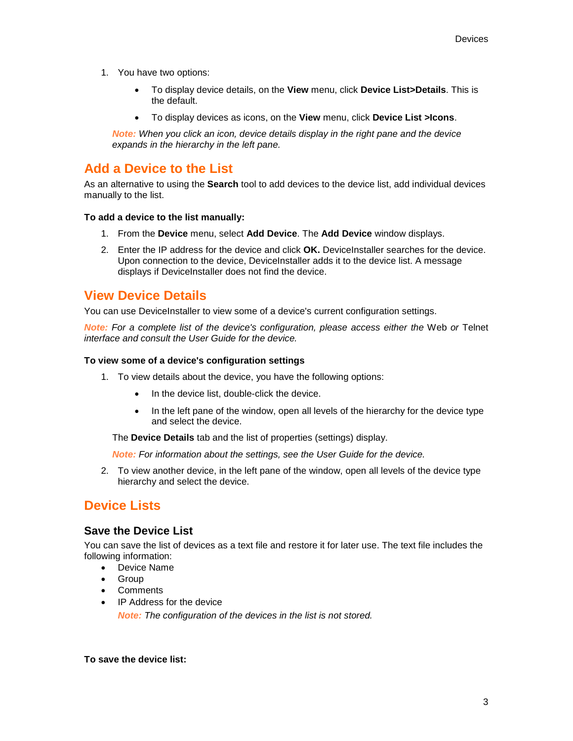- 1. You have two options:
	- To display device details, on the **View** menu, click **Device List>Details**. This is the default.
	- To display devices as icons, on the **View** menu, click **Device List >Icons**.

*Note: When you click an icon, device details display in the right pane and the device expands in the hierarchy in the left pane.*

## <span id="page-4-0"></span>**Add a Device to the List**

As an alternative to using the **Search** tool to add devices to the device list, add individual devices manually to the list.

#### **To add a device to the list manually:**

- 1. From the **Device** menu, select **Add Device**. The **Add Device** window displays.
- 2. Enter the IP address for the device and click **OK.** DeviceInstaller searches for the device. Upon connection to the device, DeviceInstaller adds it to the device list. A message displays if DeviceInstaller does not find the device.

## <span id="page-4-1"></span>**View Device Details**

You can use DeviceInstaller to view some of a device's current configuration settings.

*Note:* For a complete list of the device's configuration, please access either the Web or Telnet *interface and consult the User Guide for the device.*

#### **To view some of a device's configuration settings**

- 1. To view details about the device, you have the following options:
	- In the device list, double-click the device.
	- In the left pane of the window, open all levels of the hierarchy for the device type and select the device.

The **Device Details** tab and the list of properties (settings) display.

*Note: For information about the settings, see the User Guide for the device.*

2. To view another device, in the left pane of the window, open all levels of the device type hierarchy and select the device.

## <span id="page-4-2"></span>**Device Lists**

#### <span id="page-4-3"></span>**Save the Device List**

You can save the list of devices as a text file and restore it for later use. The text file includes the following information:

- Device Name
- Group
- Comments
- IP Address for the device *Note: The configuration of the devices in the list is not stored.*

**To save the device list:**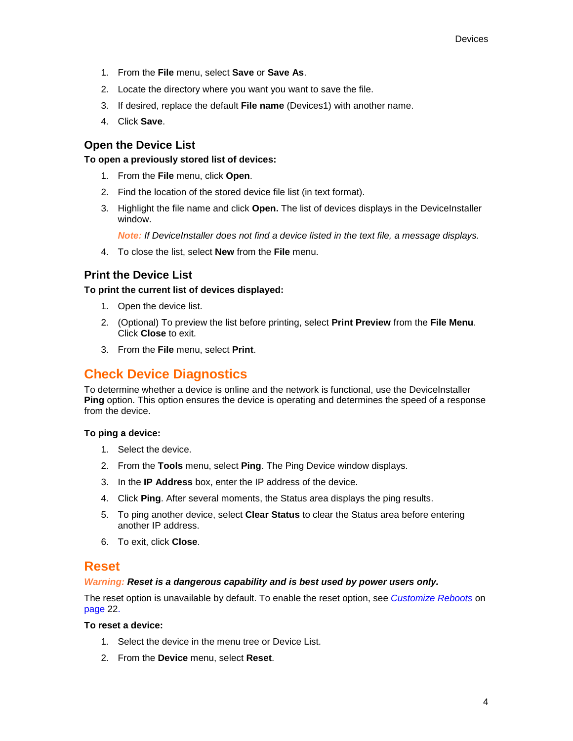- 1. From the **File** menu, select **Save** or **Save As**.
- 2. Locate the directory where you want you want to save the file.
- 3. If desired, replace the default **File name** (Devices1) with another name.
- 4. Click **Save**.

### <span id="page-5-0"></span>**Open the Device List**

#### **To open a previously stored list of devices:**

- 1. From the **File** menu, click **Open**.
- 2. Find the location of the stored device file list (in text format).
- 3. Highlight the file name and click **Open.** The list of devices displays in the DeviceInstaller window.

*Note: If DeviceInstaller does not find a device listed in the text file, a message displays.*

4. To close the list, select **New** from the **File** menu.

### <span id="page-5-1"></span>**Print the Device List**

#### **To print the current list of devices displayed:**

- 1. Open the device list.
- 2. (Optional) To preview the list before printing, select **Print Preview** from the **File Menu**. Click **Close** to exit.
- 3. From the **File** menu, select **Print**.

## <span id="page-5-2"></span>**Check Device Diagnostics**

To determine whether a device is online and the network is functional, use the DeviceInstaller **Ping** option. This option ensures the device is operating and determines the speed of a response from the device.

#### **To ping a device:**

- 1. Select the device.
- 2. From the **Tools** menu, select **Ping**. The Ping Device window displays.
- 3. In the **IP Address** box, enter the IP address of the device.
- 4. Click **Ping**. After several moments, the Status area displays the ping results.
- 5. To ping another device, select **Clear Status** to clear the Status area before entering another IP address.
- 6. To exit, click **Close**.

### <span id="page-5-3"></span>**Reset**

#### *Warning: Reset is a dangerous capability and is best used by power users only.*

The reset option is unavailable by default. To enable the reset option, see *[Customize Reboots](#page-23-0)* on page [22.](#page-23-0)

#### **To reset a device:**

- 1. Select the device in the menu tree or Device List.
- 2. From the **Device** menu, select **Reset**.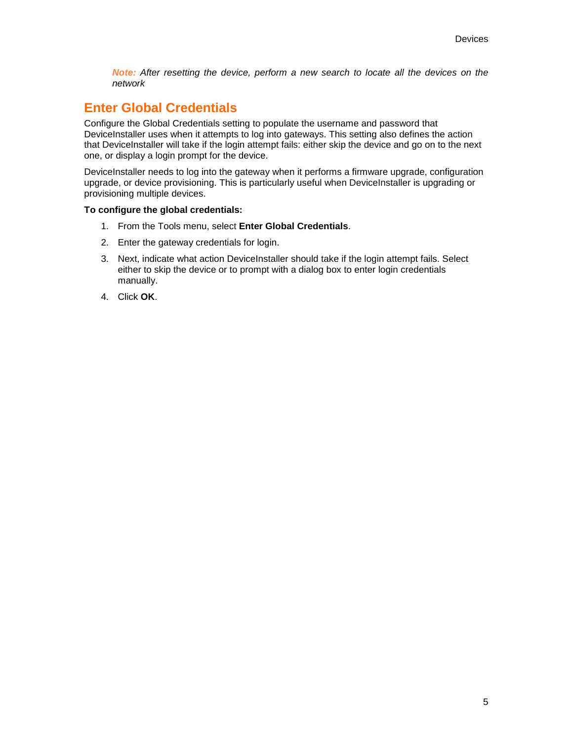*Note: After resetting the device, perform a new search to locate all the devices on the network*

## <span id="page-6-0"></span>**Enter Global Credentials**

Configure the Global Credentials setting to populate the username and password that DeviceInstaller uses when it attempts to log into gateways. This setting also defines the action that DeviceInstaller will take if the login attempt fails: either skip the device and go on to the next one, or display a login prompt for the device.

DeviceInstaller needs to log into the gateway when it performs a firmware upgrade, configuration upgrade, or device provisioning. This is particularly useful when DeviceInstaller is upgrading or provisioning multiple devices.

#### **To configure the global credentials:**

- 1. From the Tools menu, select **Enter Global Credentials**.
- 2. Enter the gateway credentials for login.
- 3. Next, indicate what action DeviceInstaller should take if the login attempt fails. Select either to skip the device or to prompt with a dialog box to enter login credentials manually.
- 4. Click **OK**.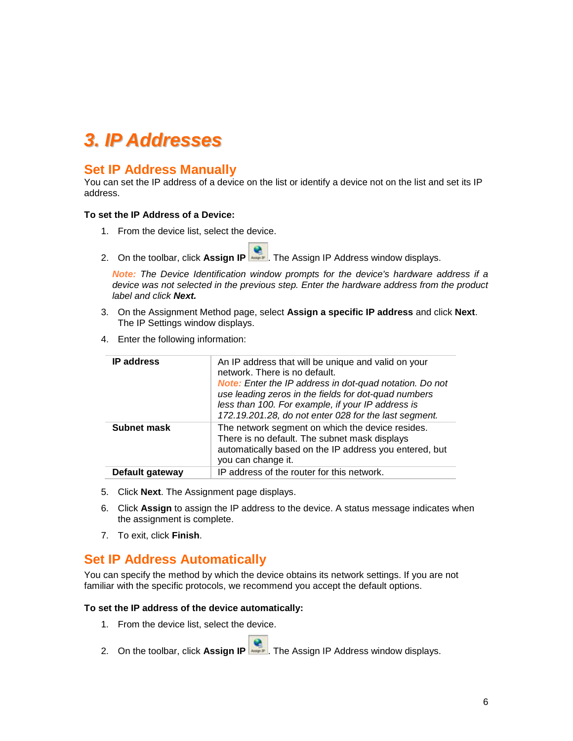## <span id="page-7-0"></span>*3. IP Addresses*

### <span id="page-7-1"></span>**Set IP Address Manually**

You can set the IP address of a device on the list or identify a device not on the list and set its IP address.

#### **To set the IP Address of a Device:**

- 1. From the device list, select the device.
- 

2. On the toolbar, click Assign IP **...** The Assign IP Address window displays.

*Note: The Device Identification window prompts for the device's hardware address if a device was not selected in the previous step. Enter the hardware address from the product label and click Next.*

- 3. On the Assignment Method page, select **Assign a specific IP address** and click **Next**. The IP Settings window displays.
- 4. Enter the following information:

| <b>IP</b> address  | An IP address that will be unique and valid on your<br>network. There is no default.<br><b>Note:</b> Enter the IP address in dot-quad notation. Do not<br>use leading zeros in the fields for dot-quad numbers<br>less than 100. For example, if your IP address is<br>172.19.201.28, do not enter 028 for the last segment. |
|--------------------|------------------------------------------------------------------------------------------------------------------------------------------------------------------------------------------------------------------------------------------------------------------------------------------------------------------------------|
| <b>Subnet mask</b> | The network segment on which the device resides.<br>There is no default. The subnet mask displays<br>automatically based on the IP address you entered, but<br>you can change it.                                                                                                                                            |
| Default gateway    | IP address of the router for this network.                                                                                                                                                                                                                                                                                   |

- 5. Click **Next**. The Assignment page displays.
- 6. Click **Assign** to assign the IP address to the device. A status message indicates when the assignment is complete.
- 7. To exit, click **Finish**.

## <span id="page-7-2"></span>**Set IP Address Automatically**

You can specify the method by which the device obtains its network settings. If you are not familiar with the specific protocols, we recommend you accept the default options.

#### **To set the IP address of the device automatically:**

- 1. From the device list, select the device.
- 2. On the toolbar, click Assign IP **...** The Assign IP Address window displays.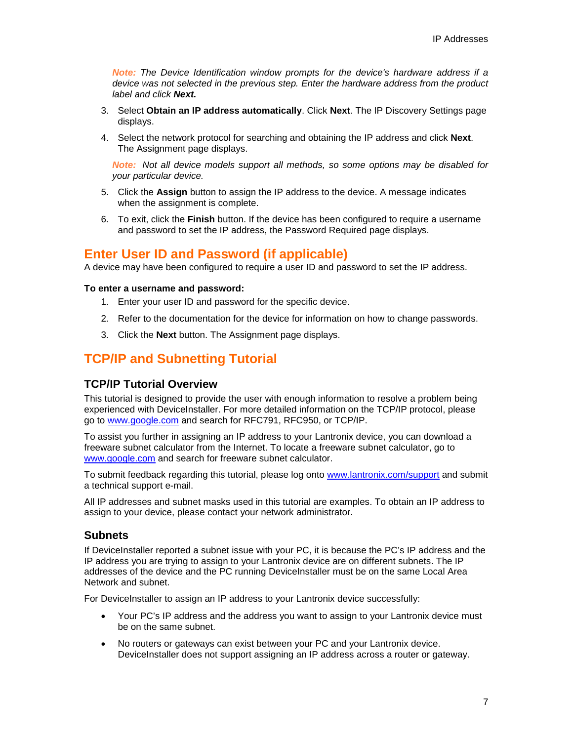*Note: The Device Identification window prompts for the device's hardware address if a device was not selected in the previous step. Enter the hardware address from the product label and click Next.*

- 3. Select **Obtain an IP address automatically**. Click **Next**. The IP Discovery Settings page displays.
- 4. Select the network protocol for searching and obtaining the IP address and click **Next**. The Assignment page displays.

*Note: Not all device models support all methods, so some options may be disabled for your particular device.*

- 5. Click the **Assign** button to assign the IP address to the device. A message indicates when the assignment is complete.
- 6. To exit, click the **Finish** button. If the device has been configured to require a username and password to set the IP address, the Password Required page displays.

### <span id="page-8-0"></span>**Enter User ID and Password (if applicable)**

A device may have been configured to require a user ID and password to set the IP address.

#### **To enter a username and password:**

- 1. Enter your user ID and password for the specific device.
- 2. Refer to the documentation for the device for information on how to change passwords.
- 3. Click the **Next** button. The Assignment page displays.

## <span id="page-8-1"></span>**TCP/IP and Subnetting Tutorial**

#### <span id="page-8-2"></span>**TCP/IP Tutorial Overview**

This tutorial is designed to provide the user with enough information to resolve a problem being experienced with DeviceInstaller. For more detailed information on the TCP/IP protocol, please go to [www.google.com](http://www.google.com/) and search for RFC791, RFC950, or TCP/IP.

To assist you further in assigning an IP address to your Lantronix device, you can download a freeware subnet calculator from the Internet. To locate a freeware subnet calculator, go to [www.google.com](http://www.google.com/) and search for freeware subnet calculator.

To submit feedback regarding this tutorial, please log onto [www.lantronix.com/support](http://www.lantronix.com/support) and submit a technical support e-mail.

All IP addresses and subnet masks used in this tutorial are examples. To obtain an IP address to assign to your device, please contact your network administrator.

#### <span id="page-8-3"></span>**Subnets**

If DeviceInstaller reported a subnet issue with your PC, it is because the PC's IP address and the IP address you are trying to assign to your Lantronix device are on different subnets. The IP addresses of the device and the PC running DeviceInstaller must be on the same Local Area Network and subnet.

For DeviceInstaller to assign an IP address to your Lantronix device successfully:

- Your PC's IP address and the address you want to assign to your Lantronix device must be on the same subnet.
- No routers or gateways can exist between your PC and your Lantronix device. DeviceInstaller does not support assigning an IP address across a router or gateway.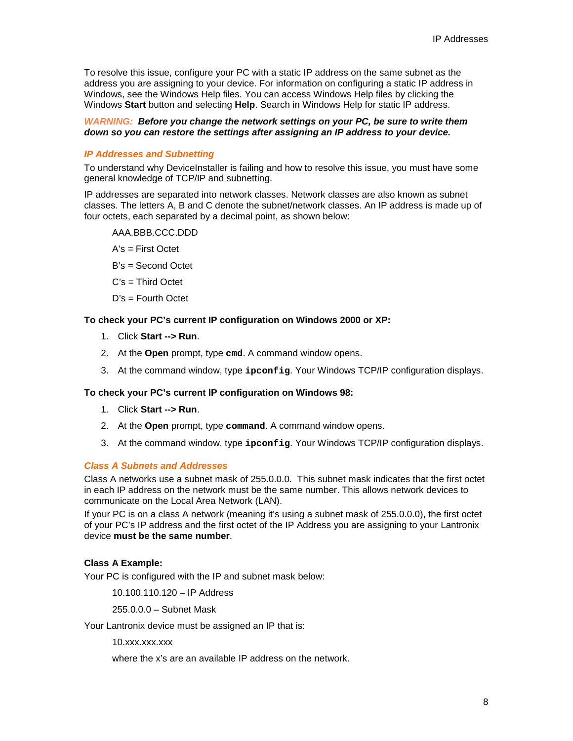To resolve this issue, configure your PC with a static IP address on the same subnet as the address you are assigning to your device. For information on configuring a static IP address in Windows, see the Windows Help files. You can access Windows Help files by clicking the Windows **Start** button and selecting **Help**. Search in Windows Help for static IP address.

#### *WARNING: Before you change the network settings on your PC, be sure to write them down so you can restore the settings after assigning an IP address to your device.*

#### *IP Addresses and Subnetting*

To understand why DeviceInstaller is failing and how to resolve this issue, you must have some general knowledge of TCP/IP and subnetting.

IP addresses are separated into network classes. Network classes are also known as subnet classes. The letters A, B and C denote the subnet/network classes. An IP address is made up of four octets, each separated by a decimal point, as shown below:

AAA.BBB.CCC.DDD

- $A's = First$  Octet
- B's = Second Octet
- C's = Third Octet
- D's = Fourth Octet

#### **To check your PC's current IP configuration on Windows 2000 or XP:**

- 1. Click **Start --> Run**.
- 2. At the **Open** prompt, type **cmd**. A command window opens.
- 3. At the command window, type **ipconfig**. Your Windows TCP/IP configuration displays.

#### **To check your PC's current IP configuration on Windows 98:**

- 1. Click **Start --> Run**.
- 2. At the **Open** prompt, type **command**. A command window opens.
- 3. At the command window, type **ipconfig**. Your Windows TCP/IP configuration displays.

#### *Class A Subnets and Addresses*

Class A networks use a subnet mask of 255.0.0.0. This subnet mask indicates that the first octet in each IP address on the network must be the same number. This allows network devices to communicate on the Local Area Network (LAN).

If your PC is on a class A network (meaning it's using a subnet mask of 255.0.0.0), the first octet of your PC's IP address and the first octet of the IP Address you are assigning to your Lantronix device **must be the same number**.

#### **Class A Example:**

Your PC is configured with the IP and subnet mask below:

10.100.110.120 – IP Address

255.0.0.0 – Subnet Mask

Your Lantronix device must be assigned an IP that is:

10.xxx.xxx.xxx

where the x's are an available IP address on the network.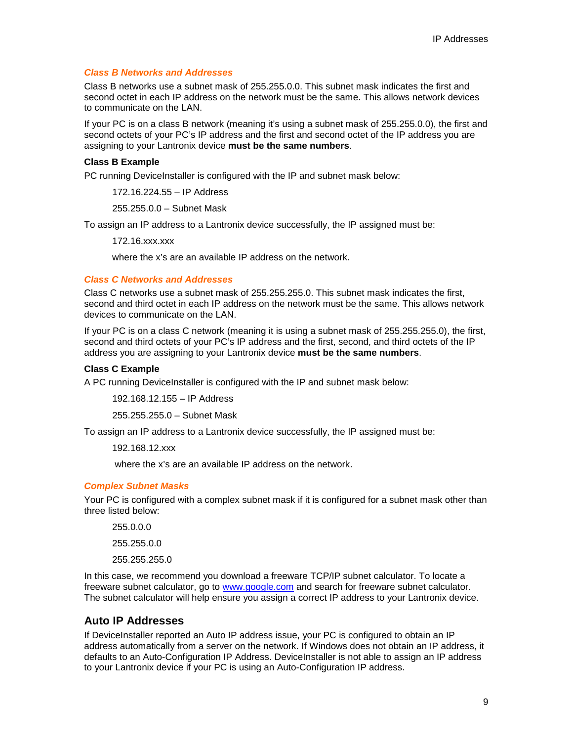#### *Class B Networks and Addresses*

Class B networks use a subnet mask of 255.255.0.0. This subnet mask indicates the first and second octet in each IP address on the network must be the same. This allows network devices to communicate on the LAN.

If your PC is on a class B network (meaning it's using a subnet mask of 255.255.0.0), the first and second octets of your PC's IP address and the first and second octet of the IP address you are assigning to your Lantronix device **must be the same numbers**.

#### **Class B Example**

PC running DeviceInstaller is configured with the IP and subnet mask below:

172.16.224.55 – IP Address

255.255.0.0 – Subnet Mask

To assign an IP address to a Lantronix device successfully, the IP assigned must be:

172.16.xxx.xxx

where the x's are an available IP address on the network.

#### *Class C Networks and Addresses*

Class C networks use a subnet mask of 255.255.255.0. This subnet mask indicates the first, second and third octet in each IP address on the network must be the same. This allows network devices to communicate on the LAN.

If your PC is on a class C network (meaning it is using a subnet mask of 255.255.255.0), the first, second and third octets of your PC's IP address and the first, second, and third octets of the IP address you are assigning to your Lantronix device **must be the same numbers**.

#### **Class C Example**

A PC running DeviceInstaller is configured with the IP and subnet mask below:

192.168.12.155 – IP Address

255.255.255.0 – Subnet Mask

To assign an IP address to a Lantronix device successfully, the IP assigned must be:

192.168.12.xxx

where the x's are an available IP address on the network.

#### *Complex Subnet Masks*

Your PC is configured with a complex subnet mask if it is configured for a subnet mask other than three listed below:

255.0.0.0 255.255.0.0 255.255.255.0

In this case, we recommend you download a freeware TCP/IP subnet calculator. To locate a freeware subnet calculator, go to www.google.com and search for freeware subnet calculator. The subnet calculator will help ensure you assign a correct IP address to your Lantronix device.

#### <span id="page-10-0"></span>**Auto IP Addresses**

If DeviceInstaller reported an Auto IP address issue, your PC is configured to obtain an IP address automatically from a server on the network. If Windows does not obtain an IP address, it defaults to an Auto-Configuration IP Address. DeviceInstaller is not able to assign an IP address to your Lantronix device if your PC is using an Auto-Configuration IP address.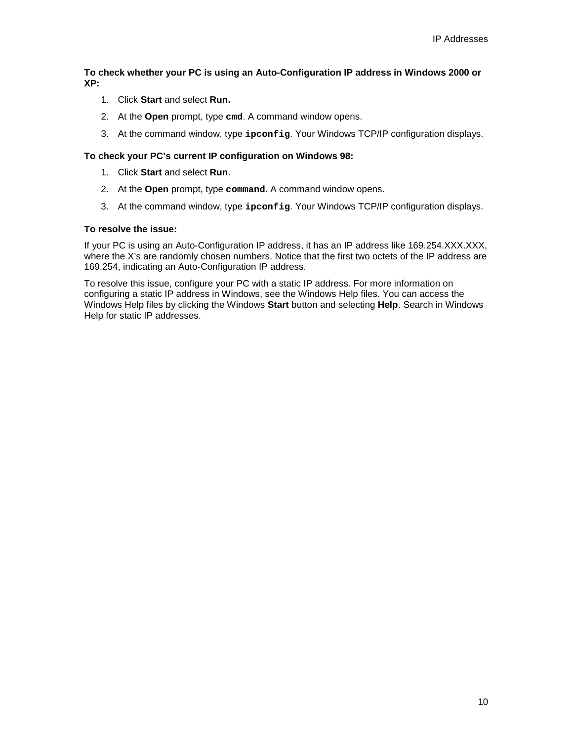**To check whether your PC is using an Auto-Configuration IP address in Windows 2000 or XP:**

- 1. Click **Start** and select **Run.**
- 2. At the **Open** prompt, type **cmd**. A command window opens.
- 3. At the command window, type **ipconfig**. Your Windows TCP/IP configuration displays.

#### **To check your PC's current IP configuration on Windows 98:**

- 1. Click **Start** and select **Run**.
- 2. At the **Open** prompt, type **command**. A command window opens.
- 3. At the command window, type **ipconfig**. Your Windows TCP/IP configuration displays.

#### **To resolve the issue:**

If your PC is using an Auto-Configuration IP address, it has an IP address like 169.254.XXX.XXX, where the X's are randomly chosen numbers. Notice that the first two octets of the IP address are 169.254, indicating an Auto-Configuration IP address.

To resolve this issue, configure your PC with a static IP address. For more information on configuring a static IP address in Windows, see the Windows Help files. You can access the Windows Help files by clicking the Windows **Start** button and selecting **Help**. Search in Windows Help for static IP addresses.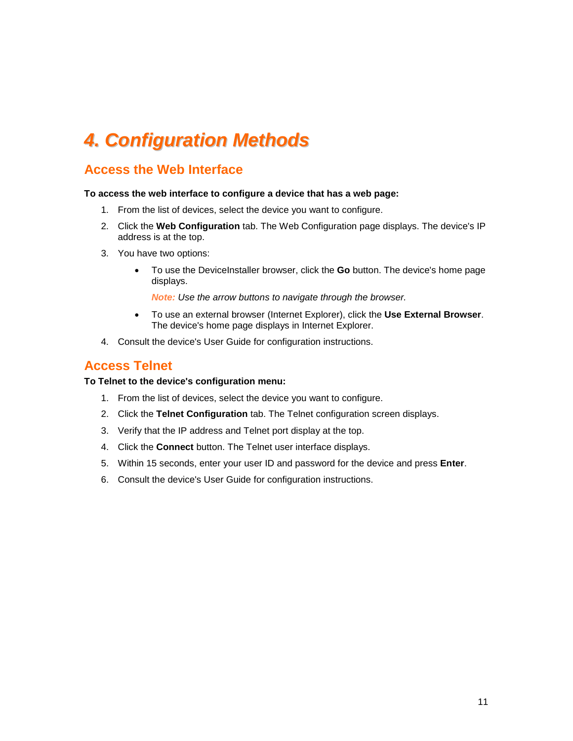# <span id="page-12-0"></span>*4. Configuration Methods*

## <span id="page-12-1"></span>**Access the Web Interface**

#### **To access the web interface to configure a device that has a web page:**

- 1. From the list of devices, select the device you want to configure.
- 2. Click the **Web Configuration** tab. The Web Configuration page displays. The device's IP address is at the top.
- 3. You have two options:
	- To use the DeviceInstaller browser, click the **Go** button. The device's home page displays.

*Note: Use the arrow buttons to navigate through the browser.*

- To use an external browser (Internet Explorer), click the **Use External Browser**. The device's home page displays in Internet Explorer.
- 4. Consult the device's User Guide for configuration instructions.

## <span id="page-12-2"></span>**Access Telnet**

#### **To Telnet to the device's configuration menu:**

- 1. From the list of devices, select the device you want to configure.
- 2. Click the **Telnet Configuration** tab. The Telnet configuration screen displays.
- 3. Verify that the IP address and Telnet port display at the top.
- 4. Click the **Connect** button. The Telnet user interface displays.
- 5. Within 15 seconds, enter your user ID and password for the device and press **Enter**.
- 6. Consult the device's User Guide for configuration instructions.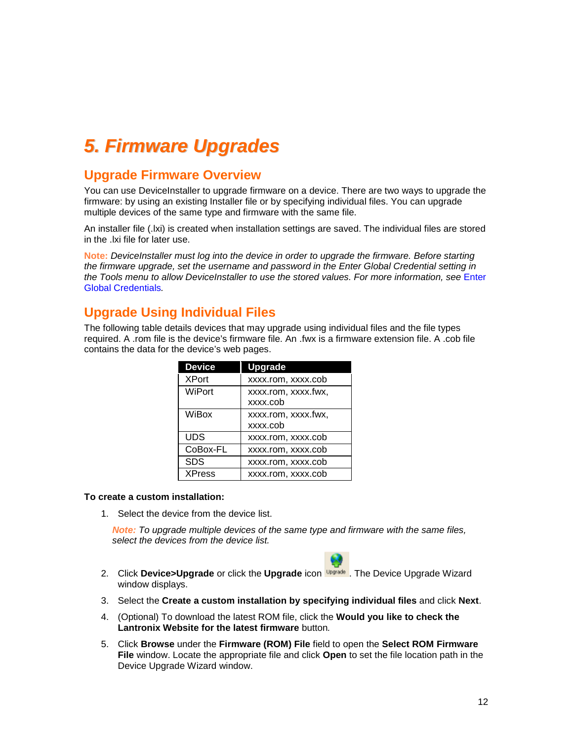## <span id="page-13-0"></span>*5. Firmware Upgrades*

## <span id="page-13-1"></span>**Upgrade Firmware Overview**

You can use DeviceInstaller to upgrade firmware on a device. There are two ways to upgrade the firmware: by using an existing Installer file or by specifying individual files. You can upgrade multiple devices of the same type and firmware with the same file.

An installer file (.lxi) is created when installation settings are saved. The individual files are stored in the .lxi file for later use.

**Note:** *DeviceInstaller must log into the device in order to upgrade the firmware. Before starting the firmware upgrade, set the username and password in the Enter Global Credential setting in the Tools menu to allow DeviceInstaller to use the stored values. For more information, see* [Enter](#page-6-0)  [Global Credentials](#page-6-0)*.*

## <span id="page-13-2"></span>**Upgrade Using Individual Files**

The following table details devices that may upgrade using individual files and the file types required. A .rom file is the device's firmware file. An .fwx is a firmware extension file. A .cob file contains the data for the device's web pages.

| <b>Device</b> | <b>Upgrade</b>      |
|---------------|---------------------|
| <b>XPort</b>  | xxxx.rom, xxxx.cob  |
| WiPort        | xxxx.rom, xxxx.fwx, |
|               | xxxx.cob            |
| WiBox         | xxxx.rom, xxxx.fwx, |
|               | xxxx.cob            |
| <b>UDS</b>    | xxxx.rom, xxxx.cob  |
| CoBox-FL      | xxxx.rom, xxxx.cob  |
| <b>SDS</b>    | xxxx.rom, xxxx.cob  |
| <b>XPress</b> | xxxx.rom, xxxx.cob  |

#### **To create a custom installation:**

1. Select the device from the device list.

*Note: To upgrade multiple devices of the same type and firmware with the same files, select the devices from the device list.*



- 2. Click Device>Upgrade or click the Upgrade icon **Upgrade**. The Device Upgrade Wizard window displays.
- 3. Select the **Create a custom installation by specifying individual files** and click **Next**.
- 4. (Optional) To download the latest ROM file, click the **Would you like to check the Lantronix Website for the latest firmware** button*.*
- 5. Click **Browse** under the **Firmware (ROM) File** field to open the **Select ROM Firmware File** window. Locate the appropriate file and click **Open** to set the file location path in the Device Upgrade Wizard window.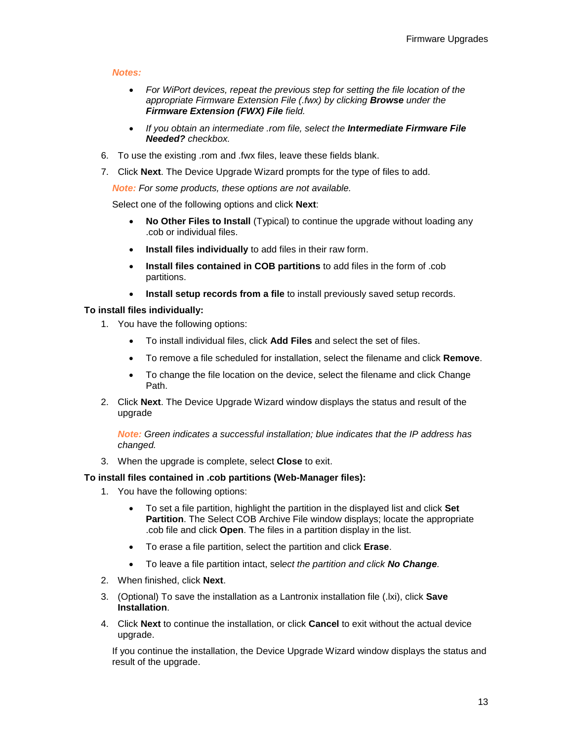#### *Notes:*

- *For WiPort devices, repeat the previous step for setting the file location of the appropriate Firmware Extension File (.fwx) by clicking Browse under the Firmware Extension (FWX) File field.*
- *If you obtain an intermediate .rom file, select the Intermediate Firmware File Needed? checkbox.*
- 6. To use the existing .rom and .fwx files, leave these fields blank.
- 7. Click **Next**. The Device Upgrade Wizard prompts for the type of files to add.

*Note: For some products, these options are not available.*

Select one of the following options and click **Next**:

- **No Other Files to Install** (Typical) to continue the upgrade without loading any .cob or individual files.
- **Install files individually** to add files in their raw form.
- **Install files contained in COB partitions** to add files in the form of .cob partitions.
- **Install setup records from a file** to install previously saved setup records.

#### **To install files individually:**

- 1. You have the following options:
	- To install individual files, click **Add Files** and select the set of files.
	- To remove a file scheduled for installation, select the filename and click **Remove**.
	- To change the file location on the device, select the filename and click Change Path.
- 2. Click **Next**. The Device Upgrade Wizard window displays the status and result of the upgrade

*Note: Green indicates a successful installation; blue indicates that the IP address has changed.*

3. When the upgrade is complete, select **Close** to exit.

#### **To install files contained in .cob partitions (Web-Manager files):**

- 1. You have the following options:
	- To set a file partition, highlight the partition in the displayed list and click **Set Partition**. The Select COB Archive File window displays; locate the appropriate .cob file and click **Open**. The files in a partition display in the list.
	- To erase a file partition, select the partition and click **Erase**.
	- To leave a file partition intact, sel*ect the partition and click No Change.*
- 2. When finished, click **Next**.
- 3. (Optional) To save the installation as a Lantronix installation file (.lxi), click **Save Installation**.
- 4. Click **Next** to continue the installation, or click **Cancel** to exit without the actual device upgrade.

If you continue the installation, the Device Upgrade Wizard window displays the status and result of the upgrade.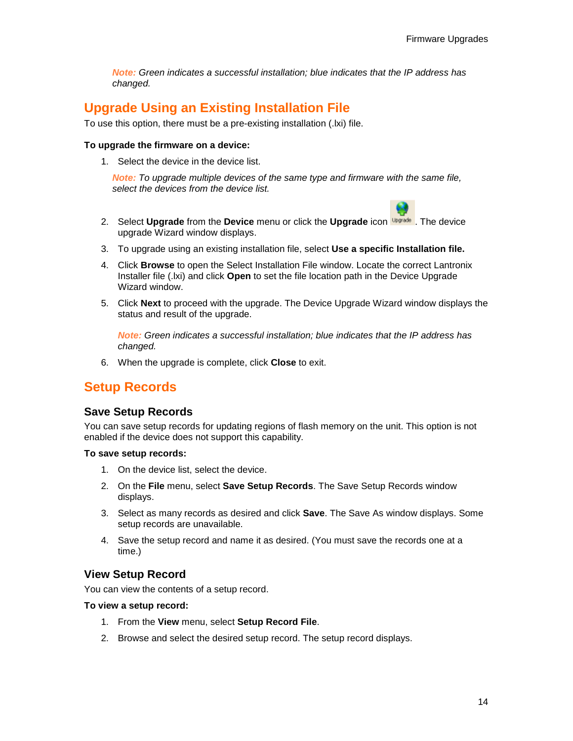*Note: Green indicates a successful installation; blue indicates that the IP address has changed.*

## <span id="page-15-0"></span>**Upgrade Using an Existing Installation File**

To use this option, there must be a pre-existing installation (.lxi) file.

#### **To upgrade the firmware on a device:**

1. Select the device in the device list.

*Note: To upgrade multiple devices of the same type and firmware with the same file, select the devices from the device list.*

- 2. Select **Upgrade** from the **Device** menu or click the **Upgrade** icon **Upgrade**. The device upgrade Wizard window displays.
- 3. To upgrade using an existing installation file, select **Use a specific Installation file.**
- 4. Click **Browse** to open the Select Installation File window. Locate the correct Lantronix Installer file (.lxi) and click **Open** to set the file location path in the Device Upgrade Wizard window.
- 5. Click **Next** to proceed with the upgrade. The Device Upgrade Wizard window displays the status and result of the upgrade.

*Note: Green indicates a successful installation; blue indicates that the IP address has changed.*

6. When the upgrade is complete, click **Close** to exit.

## <span id="page-15-1"></span>**Setup Records**

#### <span id="page-15-2"></span>**Save Setup Records**

You can save setup records for updating regions of flash memory on the unit. This option is not enabled if the device does not support this capability.

#### **To save setup records:**

- 1. On the device list, select the device.
- 2. On the **File** menu, select **Save Setup Records**. The Save Setup Records window displays.
- 3. Select as many records as desired and click **Save**. The Save As window displays. Some setup records are unavailable.
- 4. Save the setup record and name it as desired. (You must save the records one at a time.)

#### <span id="page-15-3"></span>**View Setup Record**

You can view the contents of a setup record.

#### **To view a setup record:**

- 1. From the **View** menu, select **Setup Record File**.
- 2. Browse and select the desired setup record. The setup record displays.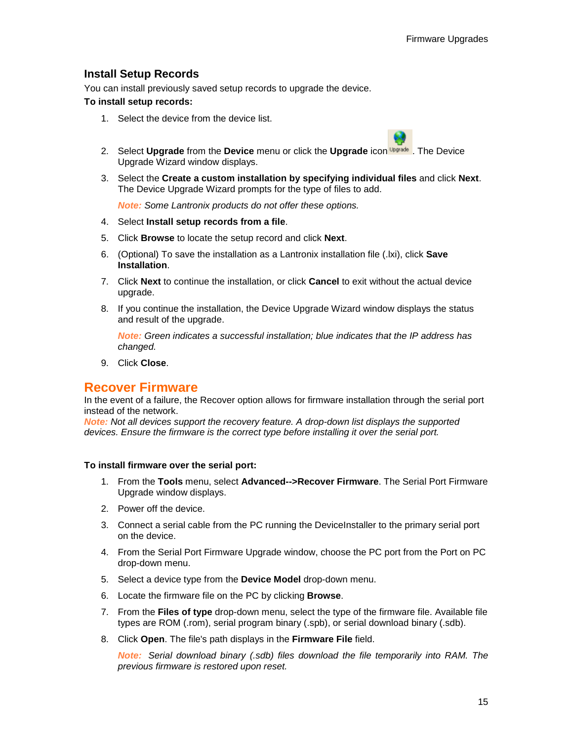#### <span id="page-16-0"></span>**Install Setup Records**

You can install previously saved setup records to upgrade the device.

#### **To install setup records:**

- 1. Select the device from the device list.
- 2. Select **Upgrade** from the **Device** menu or click the **Upgrade** icon **Upgrade**. The Device Upgrade Wizard window displays.
- 3. Select the **Create a custom installation by specifying individual files** and click **Next**. The Device Upgrade Wizard prompts for the type of files to add.

*Note: Some Lantronix products do not offer these options.*

- 4. Select **Install setup records from a file**.
- 5. Click **Browse** to locate the setup record and click **Next**.
- 6. (Optional) To save the installation as a Lantronix installation file (.lxi), click **Save Installation**.
- 7. Click **Next** to continue the installation, or click **Cancel** to exit without the actual device upgrade.
- 8. If you continue the installation, the Device Upgrade Wizard window displays the status and result of the upgrade.

*Note: Green indicates a successful installation; blue indicates that the IP address has changed.*

9. Click **Close**.

#### <span id="page-16-1"></span>**Recover Firmware**

In the event of a failure, the Recover option allows for firmware installation through the serial port instead of the network.

*Note: Not all devices support the recovery feature. A drop-down list displays the supported devices. Ensure the firmware is the correct type before installing it over the serial port.*

#### **To install firmware over the serial port:**

- 1. From the **Tools** menu, select **Advanced-->Recover Firmware**. The Serial Port Firmware Upgrade window displays.
- 2. Power off the device.
- 3. Connect a serial cable from the PC running the DeviceInstaller to the primary serial port on the device.
- 4. From the Serial Port Firmware Upgrade window, choose the PC port from the Port on PC drop-down menu.
- 5. Select a device type from the **Device Model** drop-down menu.
- 6. Locate the firmware file on the PC by clicking **Browse**.
- 7. From the **Files of type** drop-down menu, select the type of the firmware file. Available file types are ROM (.rom), serial program binary (.spb), or serial download binary (.sdb).
- 8. Click **Open**. The file's path displays in the **Firmware File** field.

*Note: Serial download binary (.sdb) files download the file temporarily into RAM. The previous firmware is restored upon reset.*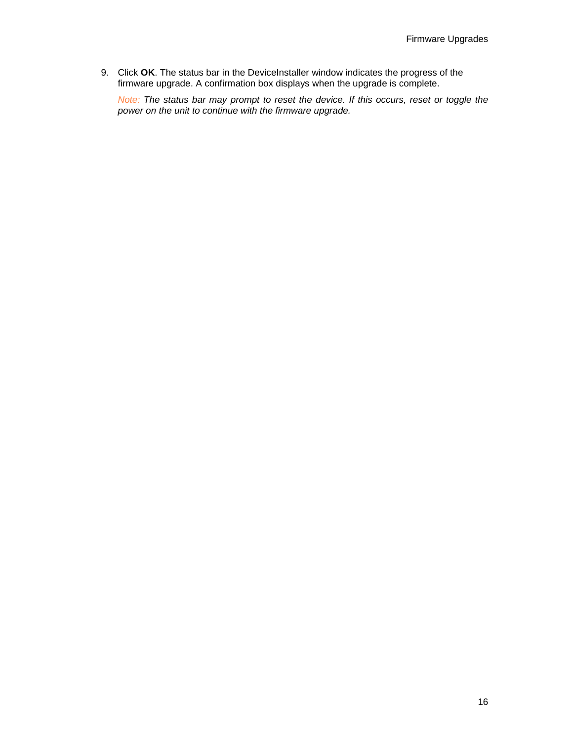9. Click **OK**. The status bar in the DeviceInstaller window indicates the progress of the firmware upgrade. A confirmation box displays when the upgrade is complete.

*Note: The status bar may prompt to reset the device. If this occurs, reset or toggle the power on the unit to continue with the firmware upgrade.*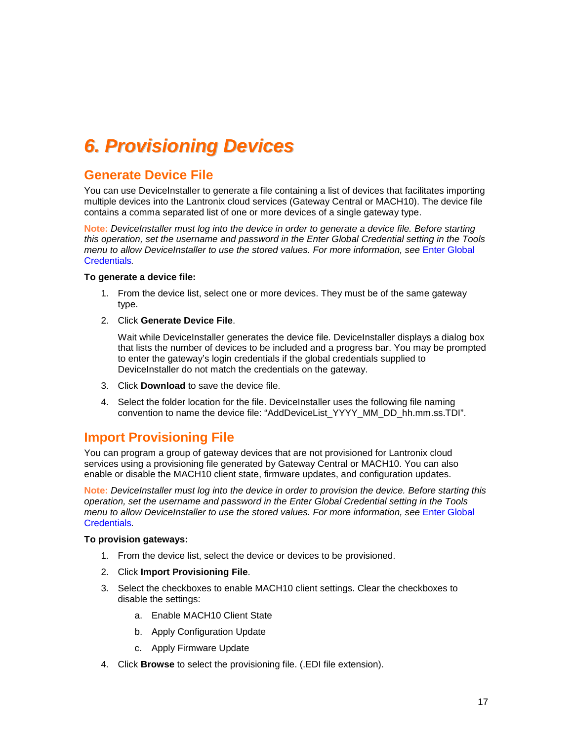## <span id="page-18-0"></span>*6. Provisioning Devices*

## <span id="page-18-1"></span>**Generate Device File**

You can use DeviceInstaller to generate a file containing a list of devices that facilitates importing multiple devices into the Lantronix cloud services (Gateway Central or MACH10). The device file contains a comma separated list of one or more devices of a single gateway type.

**Note:** *DeviceInstaller must log into the device in order to generate a device file. Before starting this operation, set the username and password in the Enter Global Credential setting in the Tools menu to allow DeviceInstaller to use the stored values. For more information, see* [Enter Global](#page-6-0)  [Credentials](#page-6-0)*.*

#### **To generate a device file:**

- 1. From the device list, select one or more devices. They must be of the same gateway type.
- 2. Click **Generate Device File**.

Wait while DeviceInstaller generates the device file. DeviceInstaller displays a dialog box that lists the number of devices to be included and a progress bar. You may be prompted to enter the gateway's login credentials if the global credentials supplied to DeviceInstaller do not match the credentials on the gateway.

- 3. Click **Download** to save the device file.
- 4. Select the folder location for the file. DeviceInstaller uses the following file naming convention to name the device file: "AddDeviceList\_YYYY\_MM\_DD\_hh.mm.ss.TDI".

## <span id="page-18-2"></span>**Import Provisioning File**

You can program a group of gateway devices that are not provisioned for Lantronix cloud services using a provisioning file generated by Gateway Central or MACH10. You can also enable or disable the MACH10 client state, firmware updates, and configuration updates.

**Note:** *DeviceInstaller must log into the device in order to provision the device. Before starting this operation, set the username and password in the Enter Global Credential setting in the Tools menu to allow DeviceInstaller to use the stored values. For more information, see* [Enter Global](#page-6-0)  [Credentials](#page-6-0)*.*

#### **To provision gateways:**

- 1. From the device list, select the device or devices to be provisioned.
- 2. Click **Import Provisioning File**.
- 3. Select the checkboxes to enable MACH10 client settings. Clear the checkboxes to disable the settings:
	- a. Enable MACH10 Client State
	- b. Apply Configuration Update
	- c. Apply Firmware Update
- 4. Click **Browse** to select the provisioning file. (.EDI file extension).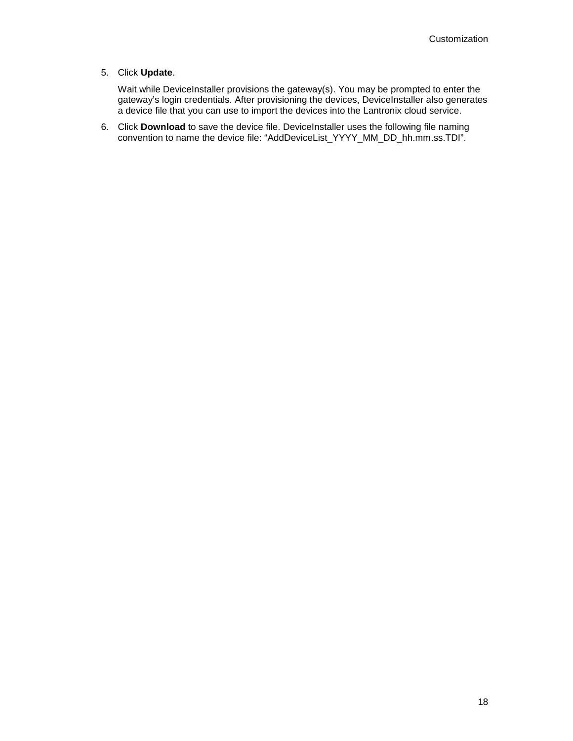#### 5. Click **Update**.

Wait while DeviceInstaller provisions the gateway(s). You may be prompted to enter the gateway's login credentials. After provisioning the devices, DeviceInstaller also generates a device file that you can use to import the devices into the Lantronix cloud service.

<span id="page-19-0"></span>6. Click **Download** to save the device file. DeviceInstaller uses the following file naming convention to name the device file: "AddDeviceList\_YYYY\_MM\_DD\_hh.mm.ss.TDI".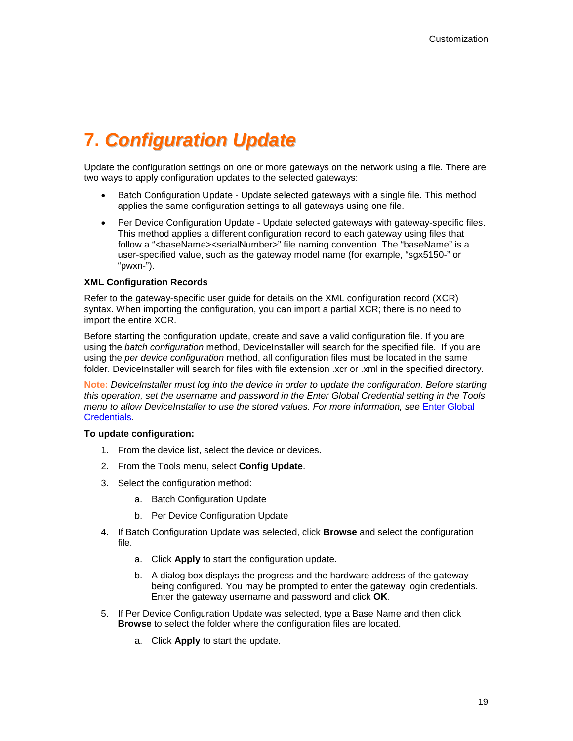## **7.** *Configuration Update*

Update the configuration settings on one or more gateways on the network using a file. There are two ways to apply configuration updates to the selected gateways:

- Batch Configuration Update Update selected gateways with a single file. This method applies the same configuration settings to all gateways using one file.
- Per Device Configuration Update Update selected gateways with gateway-specific files. This method applies a different configuration record to each gateway using files that follow a "<baseName><serialNumber>" file naming convention. The "baseName" is a user-specified value, such as the gateway model name (for example, "sgx5150-" or "pwxn-").

#### **XML Configuration Records**

Refer to the gateway-specific user guide for details on the XML configuration record (XCR) syntax. When importing the configuration, you can import a partial XCR; there is no need to import the entire XCR.

Before starting the configuration update, create and save a valid configuration file. If you are using the *batch configuration* method, DeviceInstaller will search for the specified file. If you are using the *per device configuration* method, all configuration files must be located in the same folder. DeviceInstaller will search for files with file extension .xcr or .xml in the specified directory.

**Note:** *DeviceInstaller must log into the device in order to update the configuration. Before starting this operation, set the username and password in the Enter Global Credential setting in the Tools menu to allow DeviceInstaller to use the stored values. For more information, see* [Enter Global](#page-6-0)  [Credentials](#page-6-0)*.*

#### **To update configuration:**

- 1. From the device list, select the device or devices.
- 2. From the Tools menu, select **Config Update**.
- 3. Select the configuration method:
	- a. Batch Configuration Update
	- b. Per Device Configuration Update
- 4. If Batch Configuration Update was selected, click **Browse** and select the configuration file.
	- a. Click **Apply** to start the configuration update.
	- b. A dialog box displays the progress and the hardware address of the gateway being configured. You may be prompted to enter the gateway login credentials. Enter the gateway username and password and click **OK**.
- 5. If Per Device Configuration Update was selected, type a Base Name and then click **Browse** to select the folder where the configuration files are located.
	- a. Click **Apply** to start the update.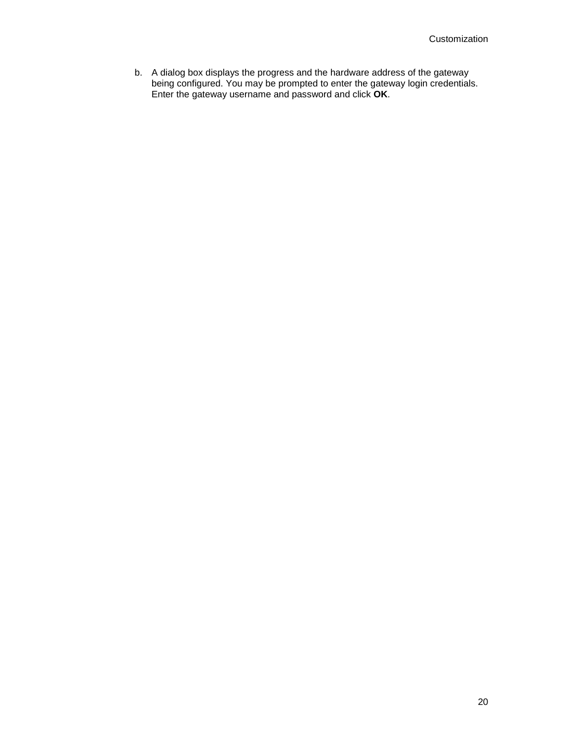<span id="page-21-0"></span>b. A dialog box displays the progress and the hardware address of the gateway being configured. You may be prompted to enter the gateway login credentials. Enter the gateway username and password and click **OK**.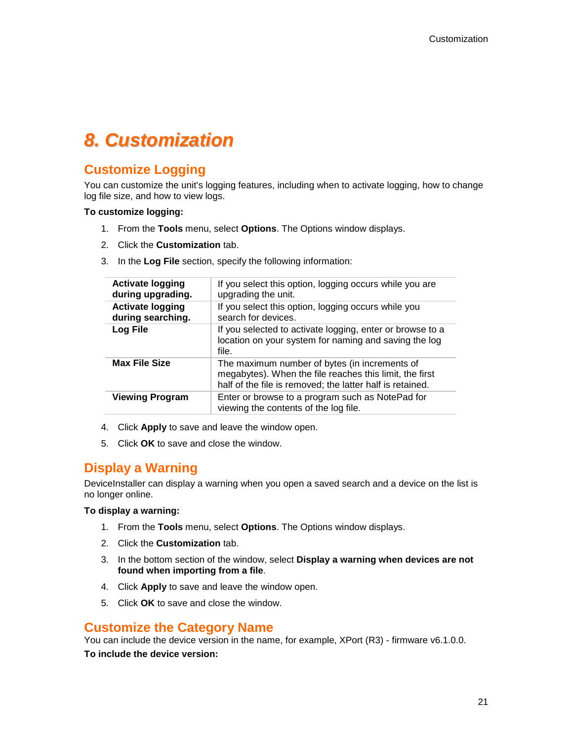## *8. Customization*

## <span id="page-22-0"></span>**Customize Logging**

You can customize the unit's logging features, including when to activate logging, how to change log file size, and how to view logs.

#### **To customize logging:**

- 1. From the **Tools** menu, select **Options**. The Options window displays.
- 2. Click the **Customization** tab.
- 3. In the **Log File** section, specify the following information:

| <b>Activate logging</b><br>during upgrading. | If you select this option, logging occurs while you are<br>upgrading the unit.                                                                                        |
|----------------------------------------------|-----------------------------------------------------------------------------------------------------------------------------------------------------------------------|
| <b>Activate logging</b><br>during searching. | If you select this option, logging occurs while you<br>search for devices.                                                                                            |
| Log File                                     | If you selected to activate logging, enter or browse to a<br>location on your system for naming and saving the log<br>file.                                           |
| <b>Max File Size</b>                         | The maximum number of bytes (in increments of<br>megabytes). When the file reaches this limit, the first<br>half of the file is removed; the latter half is retained. |
| <b>Viewing Program</b>                       | Enter or browse to a program such as NotePad for<br>viewing the contents of the log file.                                                                             |

- 4. Click **Apply** to save and leave the window open.
- 5. Click **OK** to save and close the window.

## <span id="page-22-1"></span>**Display a Warning**

DeviceInstaller can display a warning when you open a saved search and a device on the list is no longer online.

#### **To display a warning:**

- 1. From the **Tools** menu, select **Options**. The Options window displays.
- 2. Click the **Customization** tab.
- 3. In the bottom section of the window, select **Display a warning when devices are not found when importing from a file**.
- 4. Click **Apply** to save and leave the window open.
- 5. Click **OK** to save and close the window.

### <span id="page-22-2"></span>**Customize the Category Name**

You can include the device version in the name, for example, XPort (R3) - firmware v6.1.0.0. **To include the device version:**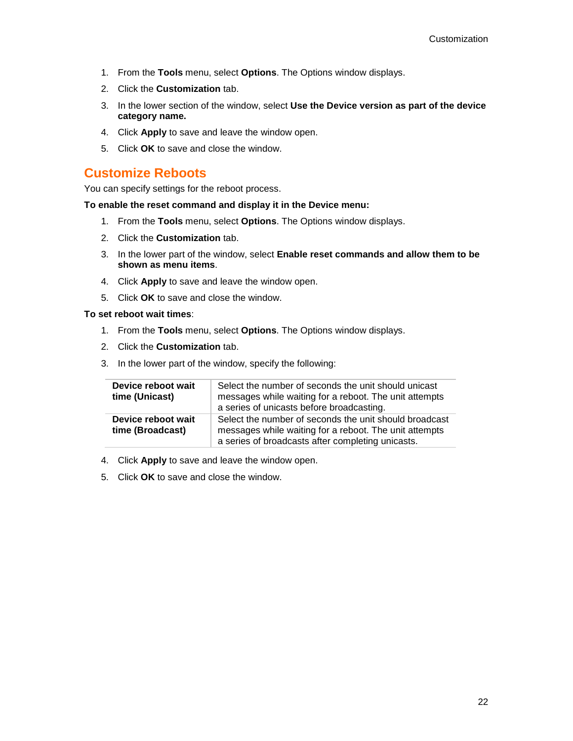- 1. From the **Tools** menu, select **Options**. The Options window displays.
- 2. Click the **Customization** tab.
- 3. In the lower section of the window, select **Use the Device version as part of the device category name.**
- 4. Click **Apply** to save and leave the window open.
- 5. Click **OK** to save and close the window.

## <span id="page-23-0"></span>**Customize Reboots**

You can specify settings for the reboot process.

#### **To enable the reset command and display it in the Device menu:**

- 1. From the **Tools** menu, select **Options**. The Options window displays.
- 2. Click the **Customization** tab.
- 3. In the lower part of the window, select **Enable reset commands and allow them to be shown as menu items**.
- 4. Click **Apply** to save and leave the window open.
- 5. Click **OK** to save and close the window.

#### **To set reboot wait times**:

- 1. From the **Tools** menu, select **Options**. The Options window displays.
- 2. Click the **Customization** tab.
- 3. In the lower part of the window, specify the following:

| Device reboot wait<br>time (Unicast)   | Select the number of seconds the unit should unicast<br>messages while waiting for a reboot. The unit attempts<br>a series of unicasts before broadcasting.           |
|----------------------------------------|-----------------------------------------------------------------------------------------------------------------------------------------------------------------------|
| Device reboot wait<br>time (Broadcast) | Select the number of seconds the unit should broadcast<br>messages while waiting for a reboot. The unit attempts<br>a series of broadcasts after completing unicasts. |

- 4. Click **Apply** to save and leave the window open.
- 5. Click **OK** to save and close the window.